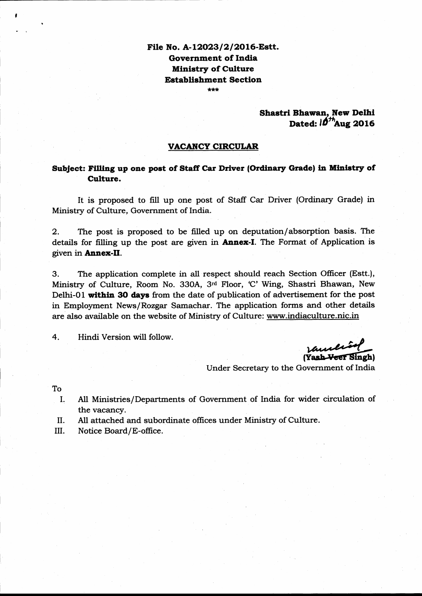#### File No. A-12023/2/2016-Estt. Government of India Ministry of Culture Establishment Section

\*\*\*

#### Shastri Bhawan, New Delhi Dated:  $10^{th}$ Aug 2016

#### VACANCY CIRCULAR

#### Subject: Filling up one post of Staff Car Driver (Ordinary Grade) in Ministry of Culture.

It is proposed to fill up one post of Staff Car Driver (Ordinary Grade) in Ministry of Culture, Government of India.

2. The post is proposed to be filled up on deputation/absorption basis. The details for filling up the post are given in **Annex-I**. The Format of Application is given in **Annex-II**.

3. The application complete in all respect should reach Section Officer (Estt.), Ministry of Culture, Room No. 330A, 3rd Floor, 'C' Wing, Shastri Bhawan, New Delhi-01 within 30 days from the date of publication of advertisement for the post in Employnrent News/Rozgar Samachar. The application forms and other details are also available on the website of Ministry of Culture: www.indiaculture.nic.in

4. Hindi Version will follow.

**Mullish**<br>(Yash <del>Veet</del> Singh)

Under Secretary to the Government of India

To

- I. All Ministries/Departments of Government of India for wider circulation of
- II. the vacancy.<br>All attached and subordinate offices under Ministry of Culture.
- III. Notice Board/E-office.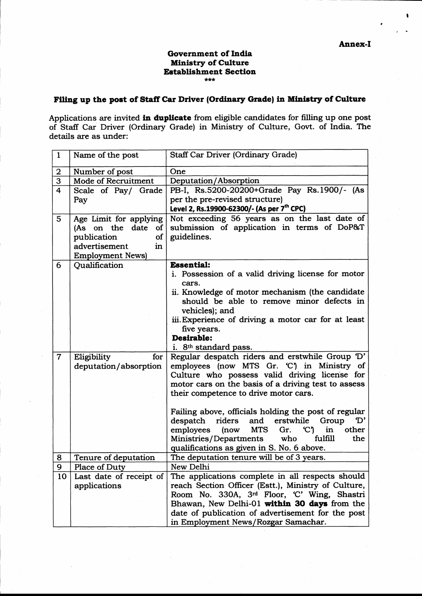#### **Government of India Ministry of Culture Establishment Section**  $***$

### Filing up the post of Staff Car Driver (Ordinary Grade) in Ministry of Culture

Applications are invited in duplicate from eligible candidates for filling up one post of Staff Car Driver (Ordinary Grade) in Ministry of Culture, Govt. of India. The details are as under:

| $\mathbf{1}$   | Name of the post        | Staff Car Driver (Ordinary Grade)                                       |  |  |
|----------------|-------------------------|-------------------------------------------------------------------------|--|--|
| $\mathbf 2$    | Number of post          | One                                                                     |  |  |
| $\overline{3}$ | Mode of Recruitment     | Deputation/Absorption                                                   |  |  |
| 4              | Scale of Pay/ Grade     | PB-I, Rs.5200-20200+Grade Pay Rs.1900/- (As                             |  |  |
|                | Pay                     | per the pre-revised structure)                                          |  |  |
|                |                         | Level 2, Rs.19900-62300/- (As per 7 <sup>th</sup> CPC)                  |  |  |
| 5              | Age Limit for applying  | Not exceeding 56 years as on the last date of                           |  |  |
|                | (As on the date<br>of   | submission of application in terms of DoP&T                             |  |  |
|                | publication<br>of       | guidelines.                                                             |  |  |
|                | advertisement<br>in     |                                                                         |  |  |
|                | <b>Employment News)</b> |                                                                         |  |  |
| 6              | Qualification           | <b>Essential:</b>                                                       |  |  |
|                |                         | i. Possession of a valid driving license for motor                      |  |  |
|                |                         | cars.                                                                   |  |  |
|                |                         | ii. Knowledge of motor mechanism (the candidate                         |  |  |
|                |                         | should be able to remove minor defects in                               |  |  |
|                |                         | vehicles); and                                                          |  |  |
|                |                         | iii. Experience of driving a motor car for at least                     |  |  |
|                |                         | five years.<br>Desirable:                                               |  |  |
|                |                         | i. 8 <sup>th</sup> standard pass.                                       |  |  |
| $\overline{7}$ | Eligibility<br>for      | Regular despatch riders and erstwhile Group 'D'                         |  |  |
|                | deputation/absorption   | employees (now MTS Gr. C) in Ministry of                                |  |  |
|                |                         | Culture who possess valid driving license for                           |  |  |
|                |                         | motor cars on the basis of a driving test to assess                     |  |  |
|                |                         | their competence to drive motor cars.                                   |  |  |
|                |                         |                                                                         |  |  |
|                |                         | Failing above, officials holding the post of regular                    |  |  |
|                |                         | despatch<br>riders<br>and erstwhile<br>Group<br>'D'                     |  |  |
|                |                         | <b>MTS</b><br>(now<br>C <sub>1</sub><br>in<br>other<br>employees<br>Gr. |  |  |
|                |                         | who<br>fulfill<br>the<br>Ministries/Departments                         |  |  |
|                |                         | qualifications as given in S. No. 6 above.                              |  |  |
| 8              | Tenure of deputation    | The deputation tenure will be of 3 years.                               |  |  |
| 9              | Place of Duty           | New Delhi                                                               |  |  |
| 10             | Last date of receipt of | The applications complete in all respects should                        |  |  |
|                | applications            | reach Section Officer (Estt.), Ministry of Culture,                     |  |  |
|                |                         | Room No. 330A, 3rd Floor, 'C' Wing, Shastri                             |  |  |
|                |                         | Bhawan, New Delhi-01 within 30 days from the                            |  |  |
|                |                         | date of publication of advertisement for the post                       |  |  |
|                |                         | in Employment News/Rozgar Samachar.                                     |  |  |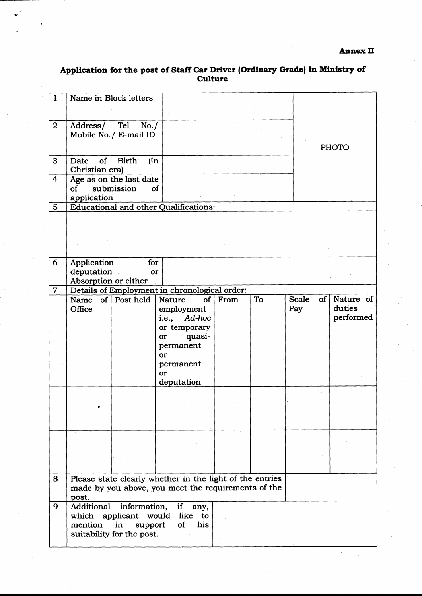# Application for the post of Staff Car Driver (Ordinary Grade) in Ministry of<br>Culture

| $\mathbf{1}$   | Name in Block letters                                                                                                    |                         |                                                                                       |      |    |              |               |                                  |
|----------------|--------------------------------------------------------------------------------------------------------------------------|-------------------------|---------------------------------------------------------------------------------------|------|----|--------------|---------------|----------------------------------|
| $\overline{2}$ | Address/ Tel<br>Mobile No./ E-mail ID                                                                                    | No. /                   |                                                                                       |      |    |              |               | <b>PHOTO</b>                     |
| 3              | $\circ$ f<br>Date<br>Christian era)                                                                                      | <b>Birth</b><br>$(\ln$  |                                                                                       |      |    |              |               |                                  |
| 4              | Age as on the last date<br>$\mathbf{f}$<br>application                                                                   | submission<br><b>of</b> |                                                                                       |      |    |              |               |                                  |
| $5\phantom{1}$ |                                                                                                                          |                         | <b>Educational and other Qualifications:</b>                                          |      |    |              |               |                                  |
|                |                                                                                                                          |                         |                                                                                       |      |    |              |               |                                  |
|                |                                                                                                                          |                         |                                                                                       |      |    |              |               |                                  |
| 6              | Application<br>deputation<br>Absorption or either                                                                        | for<br>or               |                                                                                       |      |    |              |               |                                  |
| $\overline{7}$ |                                                                                                                          |                         | Details of Employment in chronological order:                                         |      |    |              |               |                                  |
|                | Name of Post held<br>Office                                                                                              |                         | <b>Nature</b><br>of $ $<br>employment<br>i.e., Ad-hoc<br>or temporary<br>quasi-<br>or | From | To | Scale<br>Pay | $of \sqrt{ }$ | Nature of<br>duties<br>performed |
|                |                                                                                                                          |                         | permanent<br>or<br>permanent<br>or<br>deputation                                      |      |    |              |               |                                  |
|                |                                                                                                                          |                         |                                                                                       |      |    |              |               |                                  |
|                |                                                                                                                          |                         |                                                                                       |      |    |              |               |                                  |
|                |                                                                                                                          |                         |                                                                                       |      |    |              |               |                                  |
| 8              | Please state clearly whether in the light of the entries<br>made by you above, you meet the requirements of the<br>post. |                         |                                                                                       |      |    |              |               |                                  |
| 9              | Additional<br>which applicant would like<br>mention<br>suitability for the post.                                         |                         |                                                                                       |      |    |              |               |                                  |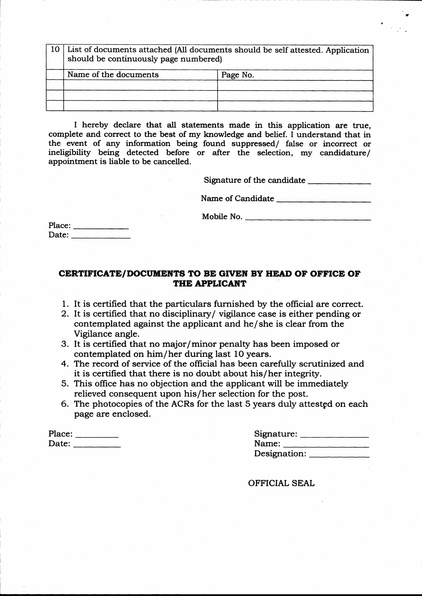| 10   List of documents attached (All documents should be self attested. Application<br>should be continuously page numbered) |  |  |  |  |  |  |  |
|------------------------------------------------------------------------------------------------------------------------------|--|--|--|--|--|--|--|
| Name of the documents<br>Page No.                                                                                            |  |  |  |  |  |  |  |
|                                                                                                                              |  |  |  |  |  |  |  |
|                                                                                                                              |  |  |  |  |  |  |  |
|                                                                                                                              |  |  |  |  |  |  |  |

I hereby declare that all statements made in this application are true, complete and correct to the best of my knowledge and belief. I understand that in the event of any information being found suppressed/ false or incorrect or ineligibility being detected before or after the selection, my candidature/ appointment is liable to be cancelled.

Signature of the candidate **Signature** of the candidate

Name of Candidate

Mobile No.

Place: Date:

#### CERTIFICATE/DOCUMENTS TO BE GIVEN BY HEAD OF OFFICE OF THE APPLICANT

- 1. It is certified that the particulars furnished by the oflicial are correct.
- 2. It is certified that no disciplinary/ vigilance case is either pending or contemplated against the applicant and he/she is clear from the Vigilance angle.
- 3. It is certified that no major/minor penalty has been imposed or contemplated on him/her during last 1O years.
- 4. The record of service of the official has been carefully scrutinized and it is certified that there is no doubt about his/her integrity.
- 5. This office has no objection and the applicant will be imrnediately relieved consequent upon his/her selection for the post.
- 6. The photocopies of the ACRs for the last 5 years duly attestgd on each page are enclosed.

Place: Date: \_\_\_\_\_\_\_\_\_

| Signature:   |  |
|--------------|--|
| Name:        |  |
| Designation: |  |

p

OFFICIAL SEAL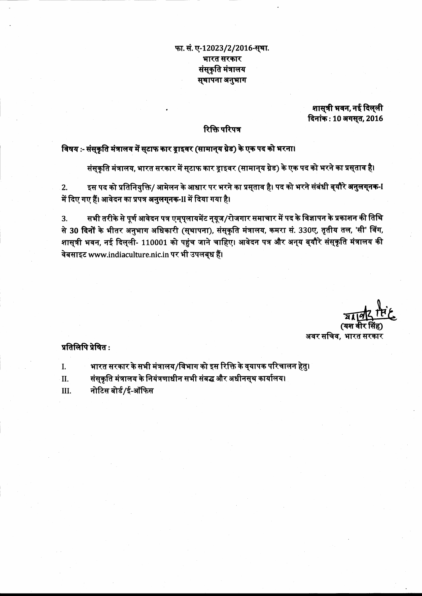#### फा. सं. ए-12023/2/2016-स्था. भारत सरकार संसकृति मंत्रालय सुथापना अनुभाग

शासुत्री भवन, नई दिल्ली दिनांक: 10 अगसूत, 2016

#### रिक्ति परिपत्र

विषय :- संस्कृति मंत्रालय में स्टाफ कार ड्राइवर (सामान्**य ग्रेड) के एक पद को भरना।** 

संसुकृति मंत्रालय, भारत सरकार में सुटाफ कार ड्राइवर (सामान्**य ग्रेड) के एक पद को भरने का प्रसुता**व है।

इस पद को प्रतिनियुक्ति/ आमेलन के आधार पर भरने का प्रसुताव है। पद को भरने संबंधी बुयौरे <mark>अनुलग्नक-</mark>I  $2.$ में दिए गए हैं। आवेदन का प्रपत्र अनुलगुनक-II में दिया गया है।

सभी तरीके से पूर्ण आवेदन पत्र एम्पुलायमेंट न्यूज/रोजगार समाचार में पद के विज्ञापन के प्रकाशन की तिथि  $3.$ से 30 दिनों के भीतर अनुभाग अधिकारी (सुथापना), संसुकृति मंत्रालय, कमरा सं. 330ए, तृतीय तल, 'सी' विंग, शास्त्री भवन, नई दिल्ली- 110001 को पहुंच जाने चाहिए। आवेदन पत्र और अन्**य ब्**यौरे संस्कृति मंत्रालय की वेबसाइट www.indiaculture.nic.in पर भी उपलब्ध हैं।

अवर सचिव. भारत सरकार

#### प्रतिलिपि प्रेषित:

- भारत सरकार के सभी मंत्रालय/विभाग को इस रिक्ति के व्**यापक परिचालन हेतु**। I.
- संसुकृति मंत्रालय के नियंत्रणाधीन सभी संबद्ध और अधीनसुथ कार्यालय। II.
- नोटिस बोर्ड/ई-ऑफिस III.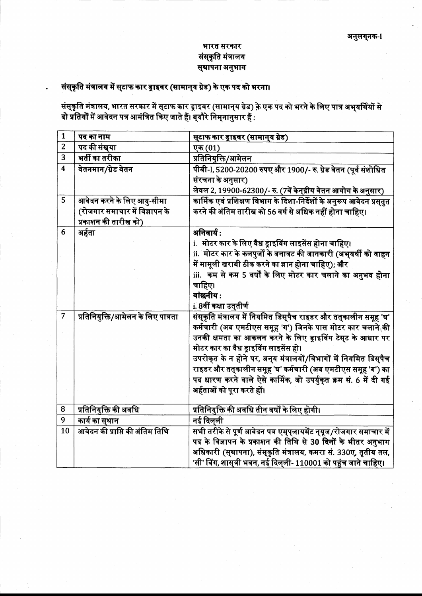#### भारत सरकार संस्कृति मंत्रालय स्थापना अनुभाग

## संस्कृति मंत्रालय में स्टाफ कार ड्राइवर (सामान्**य ग्रेड) के एक पद को भरना।**

संस्कृति मंत्रालय, भारत सरकार में स्**टाफ कार ड्राइवर (सामान्**य ग्रेड) के एक पद को भरने के लिए पात्र अभ्**यर्थियों से**<br>दो <mark>प्रतियों</mark> में आवेदन पत्र आमंत्रित किए जाते हैं। ब्**यौरे निम्**नानुसार हैं :

| $\mathbf{1}$            | पद का नाम                          | स्टाफ कार ड्राइवर (सामान्य ग्रेड)                                         |
|-------------------------|------------------------------------|---------------------------------------------------------------------------|
| $\overline{2}$          | पद की संख्या                       | एक (01)                                                                   |
| $\overline{3}$          | भर्ती का तरीका                     | प्रतिनियुक्ति/आमेलन                                                       |
| $\overline{\mathbf{4}}$ | वेतनमान/ग्रेड वेतन                 | पीबी-1, 5200-20200 रुपए और 1900/- रु. ग्रेड वेतन (पूर्व संशोधित           |
|                         |                                    | संरचना के अनुसार)                                                         |
|                         |                                    | लेवल 2, 19900-62300/- रु. (7वें केन्द्रीय वेतन आयोग के अनुसार)            |
| $\overline{5}$          | आवेदन करने के लिए आयु-सीमा         | कार्मिक एवं प्रशिक्षण विभाग के दिशा-निर्देशों के अनुरूप आवेदन प्रसुतुत    |
|                         | (रोजगार समाचार में विज्ञापन के     | करने की अंतिम तारीख को 56 वर्ष से अधिक नहीं होना चाहिए।                   |
|                         | प्रकाशन की तारीख को)               |                                                                           |
| 6                       | अर्हता                             | अनिवार्य:                                                                 |
|                         |                                    | i. मोटर कार के लिए वैध ड्राइविंग लाइसेंस होना चाहिए।                      |
|                         |                                    | ii.  मोटर कार के कलपुर्जों के बनावट की जानकारी (अभ् <b>यर्थी को वाहन</b>  |
|                         |                                    | में मामूली खराबी ठीक करने का ज्ञान होना चाहिए); और                        |
|                         |                                    | iii. कम से कम 5 वर्षों के लिए मोटर कार चलाने का अनुभव होना                |
|                         |                                    | चाहिए।                                                                    |
|                         |                                    | वांछनीय:                                                                  |
|                         |                                    | i. 8वीं कक्षा उत् <b>तीर्ण</b>                                            |
| $\overline{7}$          | प्रतिनियुक्ति/आमेलन के लिए पात्रता | संस्कृति मंत्रालय में नियमित डिस्पैच राइडर और तत्कालीन समूह 'घ'           |
|                         |                                    | कर्मचारी (अब एमटीएस समूह 'ग') जिनके पास मोटर कार चलाने की                 |
|                         |                                    | उनकी क्षमता का आकलन करने के लिए ड्राइविंग टेसुट के आधार पर                |
|                         |                                    | मोटर कार का वैध ड्राइविंग लाइसेंस हो।                                     |
|                         |                                    | उपरोक्त के न होने पर, अन् <b>य मंत्रालयों/विभागों में नियमित डिस्</b> पैच |
|                         |                                    | राइडर और तत्कालीन समूह 'घ' कर्मचारी (अब एमटीएस समूह 'ग') का               |
|                         |                                    | पद धारण करने वाले ऐसे कार्मिक, जो उपर्युकृत क्रम सं. 6 में दी गई          |
|                         |                                    | अर्हताओं को पूरा करते हों।                                                |
|                         |                                    |                                                                           |
| 8                       | प्रतिनियुक्ति की अवधि              | प्रतिनियुक्ति की अवधि तीन वर्षों के लिए होगी।                             |
| 9                       | कार्य का स् <b>थान</b>             | नई दिल्ली                                                                 |
| 10                      | आवेदन की प्राप्ति की अंतिम तिथि    | सभी तरीके से पूर्ण आवेदन पत्र एम्प्लायमेंट न्यूज/रोजगार समाचार में        |
|                         |                                    | पद के विज्ञापन के प्रकाशन की तिथि से 30 दिनों के भीतर अनुभाग              |
|                         |                                    | अधिकारी (स्थापना), संस्कृति मंत्रालय, कमरा सं. 330ए, तृतीय तल,            |
|                         |                                    | 'सी' विंग, शासुत्री भवन, नई दिलुली- 110001 को पहुंच जाने चाहिए।           |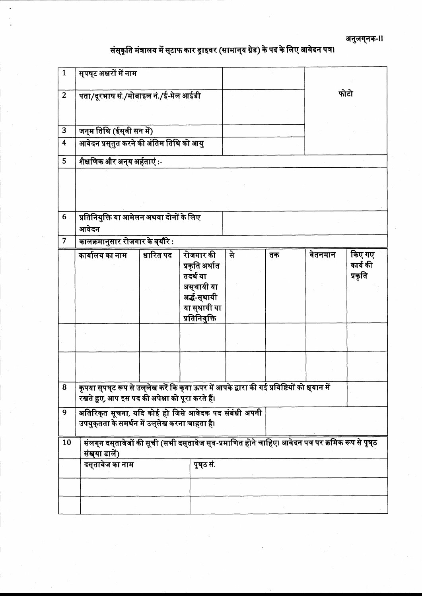अनुलग्**नक**-II

## संस्कृति मंत्रालय में स्**टाफ कार ड्राइवर (सामान्**य ग्रेड) के पद के लिए आवेदन पत्र।

| $\mathbf{1}$   | सुपष् <b>ट अक्षरों में ना</b> म                                                                                                               |                                                                                                                                                                          |                                                                                                         |      |    |         |                               |  |
|----------------|-----------------------------------------------------------------------------------------------------------------------------------------------|--------------------------------------------------------------------------------------------------------------------------------------------------------------------------|---------------------------------------------------------------------------------------------------------|------|----|---------|-------------------------------|--|
| $\overline{2}$ | पता/दूरभाष सं./मोबाइल नं./ई-मेल आईडी                                                                                                          |                                                                                                                                                                          |                                                                                                         | फोटो |    |         |                               |  |
| 3              | जन्म तिथि (ईस्वी सन में)                                                                                                                      |                                                                                                                                                                          |                                                                                                         |      |    |         |                               |  |
| 4              | आवेदन प्रस्तुत करने की अंतिम तिथि को आयु                                                                                                      |                                                                                                                                                                          |                                                                                                         |      |    |         |                               |  |
| 5              | शैक्षणिक और अन् <b>य अर्हताएं</b> :-                                                                                                          |                                                                                                                                                                          |                                                                                                         |      |    |         |                               |  |
|                |                                                                                                                                               |                                                                                                                                                                          |                                                                                                         |      |    |         |                               |  |
| 6              | प्रतिनियुक्ति या आमेलन अथवा दोनों के लिए<br>आवेदन                                                                                             |                                                                                                                                                                          |                                                                                                         |      |    |         |                               |  |
| $\overline{7}$ | कालक्रमानुसार रोजगार के ब् <b>यौरे</b> :                                                                                                      |                                                                                                                                                                          |                                                                                                         |      |    |         |                               |  |
|                | कार्यालय का नाम                                                                                                                               | धारित पद                                                                                                                                                                 | रोजगार की<br>प्रकृति अर्थात<br>तदर्थ या<br>अस्थायी या<br>अर्द्ध-स्थायी<br>या सुथायी या<br>प्रतिनियुक्ति | से   | तक | वेतनमान | किए गए<br>कार्य की<br>प्रकृति |  |
|                |                                                                                                                                               |                                                                                                                                                                          |                                                                                                         |      |    |         |                               |  |
|                |                                                                                                                                               |                                                                                                                                                                          |                                                                                                         |      |    |         |                               |  |
| 8              |                                                                                                                                               | कृपया स् <b>पष्</b> ट रूप से उल् <b>लेख करें कि क्</b> या ऊपर में आपके द्वारा की गई प्रविष्टियों को ध् <b>यान में</b><br>रखते हुए, आप इस पद की अपेक्षा को पूरा करते हैं। |                                                                                                         |      |    |         |                               |  |
| 9              | अतिरिकुत सूचना, यदि कोई हो जिसे आवेदक पद संबंधी अपनी<br>उपयुक्तता के समर्थन में उल्लेख करना चाहता है।                                         |                                                                                                                                                                          |                                                                                                         |      |    |         |                               |  |
| 10             | संलग्न दस् <b>तावेजों की सूची (सभी दस्</b> तावेज स् <b>व-प्रमाणित होने चाहिए। आवेदन पत्र पर क्र</b> मिक रूप से पृष् <b>ठ</b><br>संख्या डालें) |                                                                                                                                                                          |                                                                                                         |      |    |         |                               |  |
|                | दस् <b>तावेज का नाम</b><br>पूष्ठ सं.                                                                                                          |                                                                                                                                                                          |                                                                                                         |      |    |         |                               |  |
|                |                                                                                                                                               |                                                                                                                                                                          |                                                                                                         |      |    |         |                               |  |
|                |                                                                                                                                               |                                                                                                                                                                          |                                                                                                         |      |    |         |                               |  |